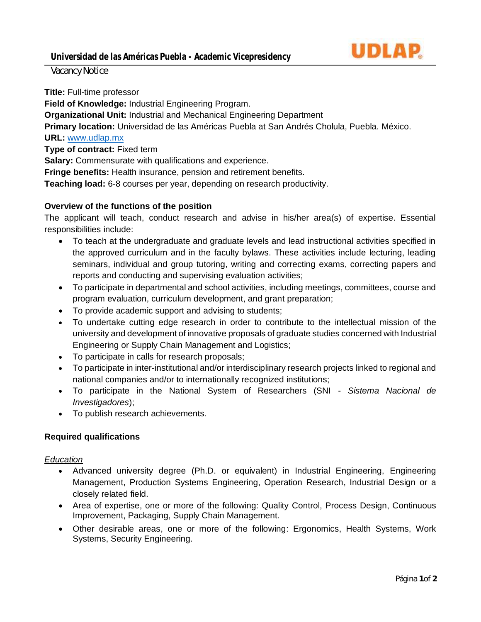

Vacancy Notice

**Title:** Full-time professor

**Field of Knowledge:** Industrial Engineering Program.

**Organizational Unit:** Industrial and Mechanical Engineering Department

**Primary location:** Universidad de las Américas Puebla at San Andrés Cholula, Puebla. México.

# **URL:** [www.udlap.mx](http://www.udlap.mx/)

**Type of contract:** Fixed term

**Salary:** Commensurate with qualifications and experience.

**Fringe benefits:** Health insurance, pension and retirement benefits.

**Teaching load:** 6-8 courses per year, depending on research productivity.

# **Overview of the functions of the position**

The applicant will teach, conduct research and advise in his/her area(s) of expertise. Essential responsibilities include:

- To teach at the undergraduate and graduate levels and lead instructional activities specified in the approved curriculum and in the faculty bylaws. These activities include lecturing, leading seminars, individual and group tutoring, writing and correcting exams, correcting papers and reports and conducting and supervising evaluation activities;
- To participate in departmental and school activities, including meetings, committees, course and program evaluation, curriculum development, and grant preparation;
- To provide academic support and advising to students;
- To undertake cutting edge research in order to contribute to the intellectual mission of the university and development of innovative proposals of graduate studies concerned with Industrial Engineering or Supply Chain Management and Logistics;
- To participate in calls for research proposals;
- To participate in inter-institutional and/or interdisciplinary research projects linked to regional and national companies and/or to internationally recognized institutions;
- To participate in the National System of Researchers (SNI *Sistema Nacional de Investigadores*);
- To publish research achievements.

## **Required qualifications**

## *Education*

- Advanced university degree (Ph.D. or equivalent) in Industrial Engineering, Engineering Management, Production Systems Engineering, Operation Research, Industrial Design or a closely related field.
- Area of expertise, one or more of the following: Quality Control, Process Design, Continuous Improvement, Packaging, Supply Chain Management.
- Other desirable areas, one or more of the following: Ergonomics, Health Systems, Work Systems, Security Engineering.